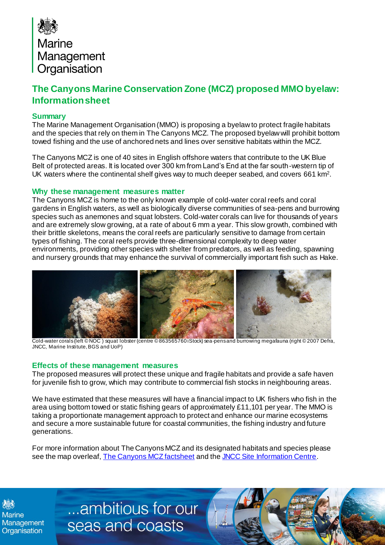

## **The Canyons Marine Conservation Zone (MCZ) proposed MMO byelaw: Informationsheet**

## **Summary**

The Marine Management Organisation (MMO) is proposing a byelaw to protect fragile habitats and the species that rely on them in The Canyons MCZ. The proposed byelaw will prohibit bottom towed fishing and the use of anchored nets and lines over sensitive habitats within the MCZ.

The Canyons MCZ is one of 40 sites in English offshore waters that contribute to the UK Blue Belt of protected areas. It is located over 300 km from Land's End at the far south-western tip of UK waters where the continental shelf gives way to much deeper seabed, and covers 661 km<sup>2</sup> .

## **Why these management measures matter**

The Canyons MCZ is home to the only known example of cold-water coral reefs and coral gardens in English waters, as well as biologically diverse communities of sea-pens and burrowing species such as anemones and squat lobsters. Cold-water corals can live for thousands of years and are extremely slow growing, at a rate of about 6 mm a year. This slow growth, combined with their brittle skeletons, means the coral reefs are particularly sensitive to damage from certain types of fishing. The coral reefs provide three-dimensional complexity to deep water environments, providing other species with shelter from predators, as well as feeding, spawning and nursery grounds that may enhance the survival of commercially important fish such as Hake.



 Cold-water corals (left © NOC ) squat lobster (centre © 863565760 iStock) sea-pensand burrowing megafauna (right © 2007 Defra, JNCC, Marine Institute, BGS and UoP)

## **Effects of these management measures**

The proposed measures will protect these unique and fragile habitats and provide a safe haven for juvenile fish to grow, which may contribute to commercial fish stocks in neighbouring areas.

We have estimated that these measures will have a financial impact to UK fishers who fish in the area using bottom towed or static fishing gears of approximately £11,101 per year. The MMO is taking a proportionate management approach to protect and enhance our marine ecosystems and secure a more sustainable future for coastal communities, the fishing industry and future generations.

For more information about The Canyons MCZ and its designated habitats and species please see the map overleaf, [The Canyons MCZ factsheet](https://assets.publishing.service.gov.uk/government/uploads/system/uploads/attachment_data/file/915365/mcz-the-canyons-2019.pdf) and th[e JNCC Site Information Centre](https://jncc.gov.uk/our-work/the-canyons-mpa/).

[../../../../../../../../../BE/ai/Case](http://teamsites/sites/MMOTeams/BE/ai/Case%20Management/Forms/AllItems.aspx) 

**Marine** 

...ambitious for our Management Seas and coasts